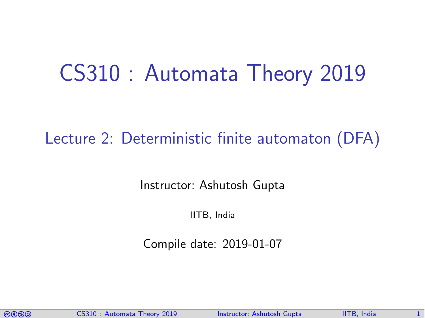# CS310 : Automata Theory 2019

## Lecture 2: Deterministic finite automaton (DFA)

Instructor: [Ashutosh Gupta](http://www.cse.iitb.ac.in/~akg/)

IITB, India

Compile date: 2019-01-07

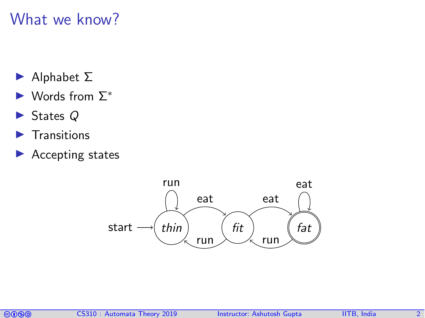### What we know?

- $\blacktriangleright$  Alphabet  $\Sigma$
- $\blacktriangleright$  Words from  $\Sigma^*$
- $\blacktriangleright$  States Q
- $\blacktriangleright$  Transitions
- $\blacktriangleright$  Accepting states



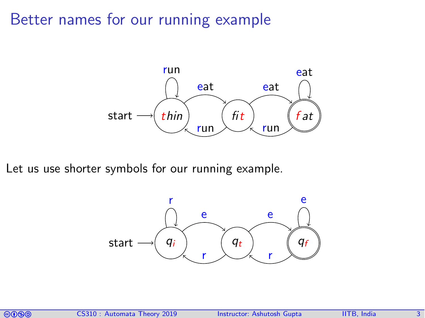### Better names for our running example



Let us use shorter symbols for our running example.



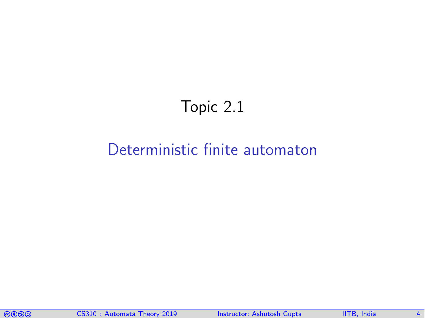## Topic 2.1

### <span id="page-3-0"></span>[Deterministic finite automaton](#page-3-0)

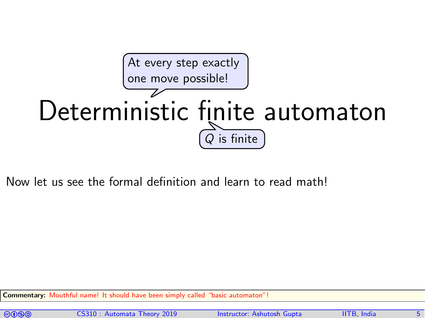

Now let us see the formal definition and learn to read math!

Commentary: Mouthful name! It should have been simply called "basic automaton"



comata Theory 2019 Instructor: [Ashutosh Gupta](http://www.cse.iitb.ac.in/~akg/) IITB, India 5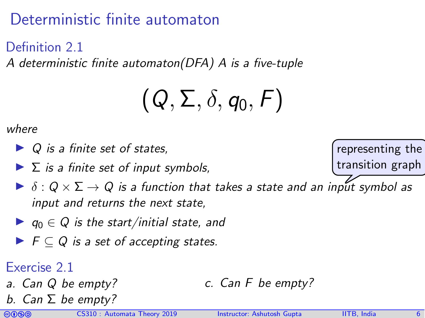## Deterministic finite automaton

Definition 2.1

A deterministic finite automaton(DFA) A is a five-tuple

$$
(Q,\Sigma,\delta,q_0,F)
$$

where

- $\triangleright$  Q is a finite set of states,
- $\blacktriangleright$   $\Sigma$  is a finite set of input symbols,
- $\triangleright$   $\delta$  :  $Q \times \Sigma \rightarrow Q$  is a function that takes a state and an input symbol as input and returns the next state,
- $\blacktriangleright$   $q_0 \in Q$  is the start/initial state, and
- $\blacktriangleright$   $\vdash$   $\vdash$   $\subset$   $Q$  is a set of accepting states.

### Exercise 2.1

- a. Can Q be empty?
- b. Can  $\Sigma$  be empty?

c. Can F be empty?

representing the transition graph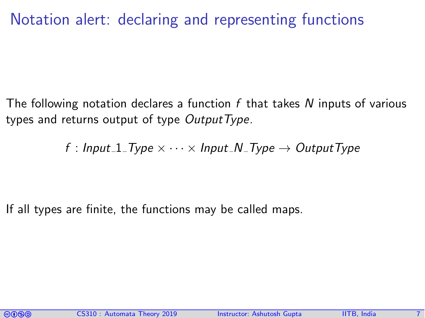## Notation alert: declaring and representing functions

The following notation declares a function f that takes N inputs of various types and returns output of type  $OutputType$ .

f : Input\_1\_Type  $\times \cdots \times$  Input\_N\_Type  $\rightarrow$  OutputType

If all types are finite, the functions may be called maps.

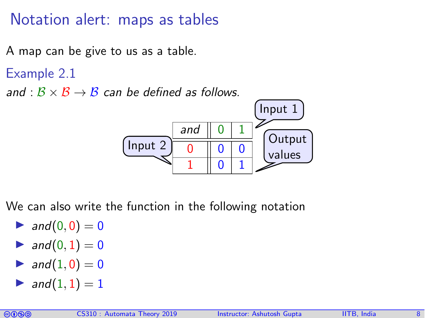Notation alert: maps as tables

A map can be give to us as a table.

Example 2.1

and :  $B \times B \rightarrow B$  can be defined as follows.



We can also write the function in the following notation

- $\blacktriangleright$  and  $(0, 0) = 0$
- $\blacktriangleright$  and  $(0, 1) = 0$
- $\blacktriangleright$  and  $(1, 0) = 0$
- and  $(1, 1) = 1$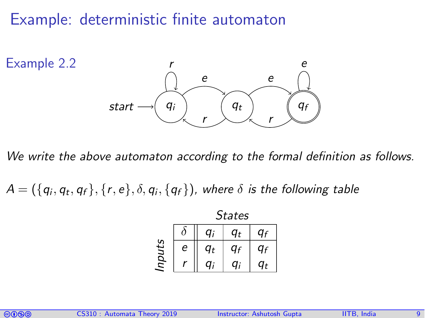### Example: deterministic finite automaton



We write the above automaton according to the formal definition as follows.

 $\mathcal{A} = (\{q_i, q_t, q_f\}, \{r, e\}, \delta, q_i, \{q_f\})$ , where  $\delta$  is the following table

|       | <b>States</b> |                |                       |       |
|-------|---------------|----------------|-----------------------|-------|
|       |               | a:             | $\boldsymbol{\tau_t}$ | ١ғ    |
| nputs | е             | q <sub>t</sub> | ағ                    |       |
|       |               | n:             | n:                    | $q_t$ |

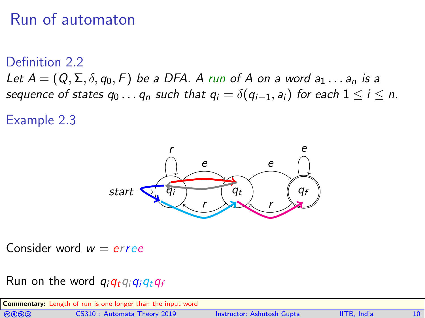## Run of automaton

#### Definition 2.2

Let  $A = (Q, \Sigma, \delta, q_0, F)$  be a DFA. A run of A on a word  $a_1 \ldots a_n$  is a sequence of states  $q_0 \ldots q_n$  such that  $q_i = \delta(q_{i-1}, a_i)$  for each  $1 \le i \le n$ .

Example 2.3



Consider word  $w = erree$ 

#### Run on the word  $q_iq_iq_iq_iq_f$

| <b>Commentary:</b> Length of run is one longer than the input word |                             |                            |                    |  |  |
|--------------------------------------------------------------------|-----------------------------|----------------------------|--------------------|--|--|
| <b>@@@@</b>                                                        | CS310: Automata Theory 2019 | Instructor: Ashutosh Gupta | <b>IITB.</b> India |  |  |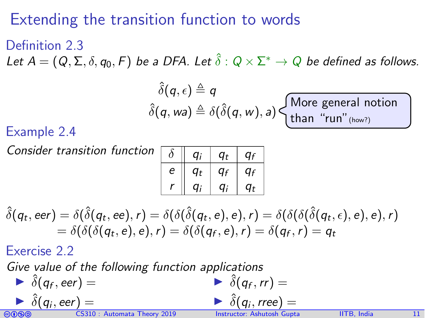## Extending the transition function to words

### Definition 2.3 Let  $A=(Q,\Sigma,\delta,q_0,F)$  be a DFA. Let  $\hat{\delta}:Q\times\Sigma^*\to Q$  be defined as follows.  $\hat{c}$   $\wedge$   $\wedge$

$$
\delta(q, \epsilon) = q
$$
  
 
$$
\delta(q, wa) \triangleq \delta(\hat{\delta}(q, w), a) \begin{cases} \text{More general notion} \\ \text{than "run" (how?)} \end{cases}
$$

#### Example 2.4

Consider transition function

|   | a:    | a+ | ٢ı |
|---|-------|----|----|
| е | $q_t$ | ағ | ۵ғ |
|   | n:    | n: | a+ |

 $\hat{\delta}(q_t,\mathit{eer}) = \delta(\hat{\delta}(q_t,\mathit{ee}),r) = \delta(\delta(\hat{\delta}(q_t,e),e),r) = \delta(\delta(\delta(\hat{\delta}(q_t,e),e),e),r)$  $\delta = \delta(\delta({\mathfrak{q}}_t, e), e), r) = \delta(\delta({\mathfrak{q}}_f, e), r) = \delta({\mathfrak{q}}_f, r) = {\mathfrak{q}}_t$ 

Exercise 2.2

Give value of the following function applications

Color CS310 : Automata Theory 2019 Instructor: [Ashutosh Gupta](http://www.cse.iitb.ac.in/~akg/) IITB, India 11  $\hat{\delta}(q_f, \text{eer}) =$  $\delta(q_i,$  eer) =  $\hat{\delta}(q_f, rr) =$  $\delta(q_i, rree) =$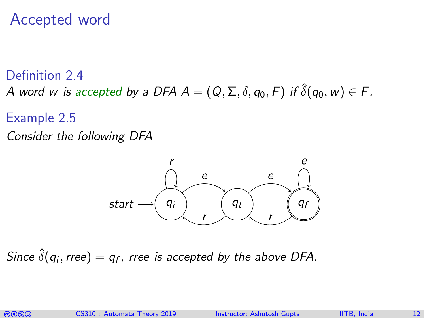### Accepted word

Definition 2.4 A word w is accepted by a DFA  $A = (Q, \Sigma, \delta, q_0, F)$  if  $\hat{\delta}(q_0, w) \in F$ .

- Example 2.5
- Consider the following DFA



Since  $\hat{\delta}(q_i,\textit{tree})=q_f,$  rree is accepted by the above DFA.

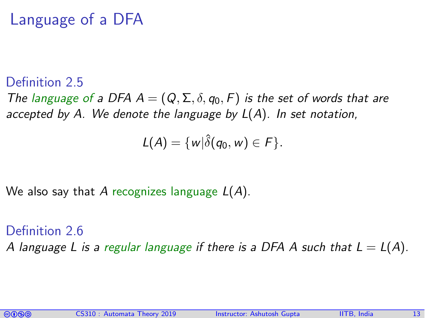## Language of a DFA

#### Definition 2.5

The language of a DFA  $A = (Q, \Sigma, \delta, q_0, F)$  is the set of words that are accepted by A. We denote the language by  $L(A)$ . In set notation,

$$
L(A)=\{w|\hat{\delta}(q_0,w)\in F\}.
$$

We also say that A recognizes language  $L(A)$ .

Definition 2.6 A language L is a regular language if there is a DFA A such that  $L = L(A)$ .

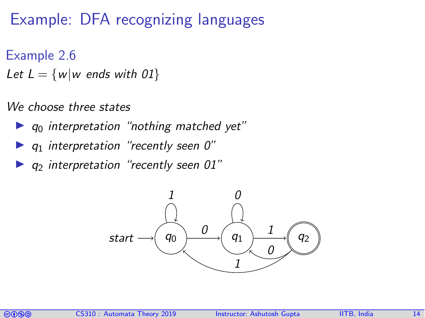## Example: DFA recognizing languages

### Example 2.6

Let  $L = \{w|w \text{ ends with } 01\}$ 

#### We choose three states

- $\blacktriangleright$   $q_0$  interpretation "nothing matched yet"
- $\bullet$  q<sub>1</sub> interpretation "recently seen 0"
- $\bullet$  q<sub>2</sub> interpretation "recently seen 01"



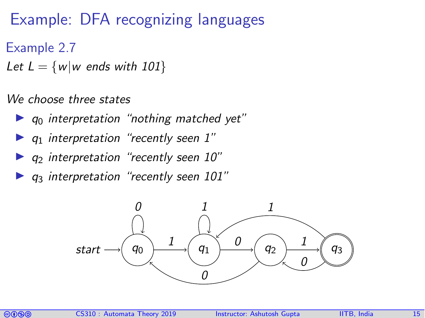## Example: DFA recognizing languages

- Example 2.7
- Let  $L = \{w|w \text{ ends with } 101\}$

#### We choose three states

- $\triangleright$   $q_0$  interpretation "nothing matched yet"
- $\bullet$  q<sub>1</sub> interpretation "recently seen 1"
- $\blacktriangleright$  q<sub>2</sub> interpretation "recently seen 10"
- $q_3$  interpretation "recently seen 101"



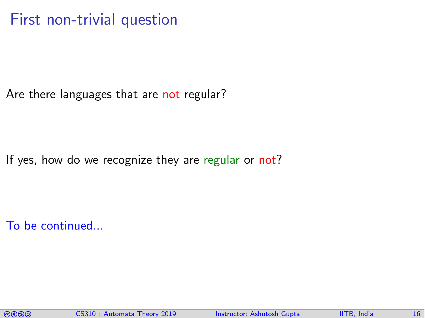### First non-trivial question

Are there languages that are not regular?

If yes, how do we recognize they are regular or not?

To be continued...